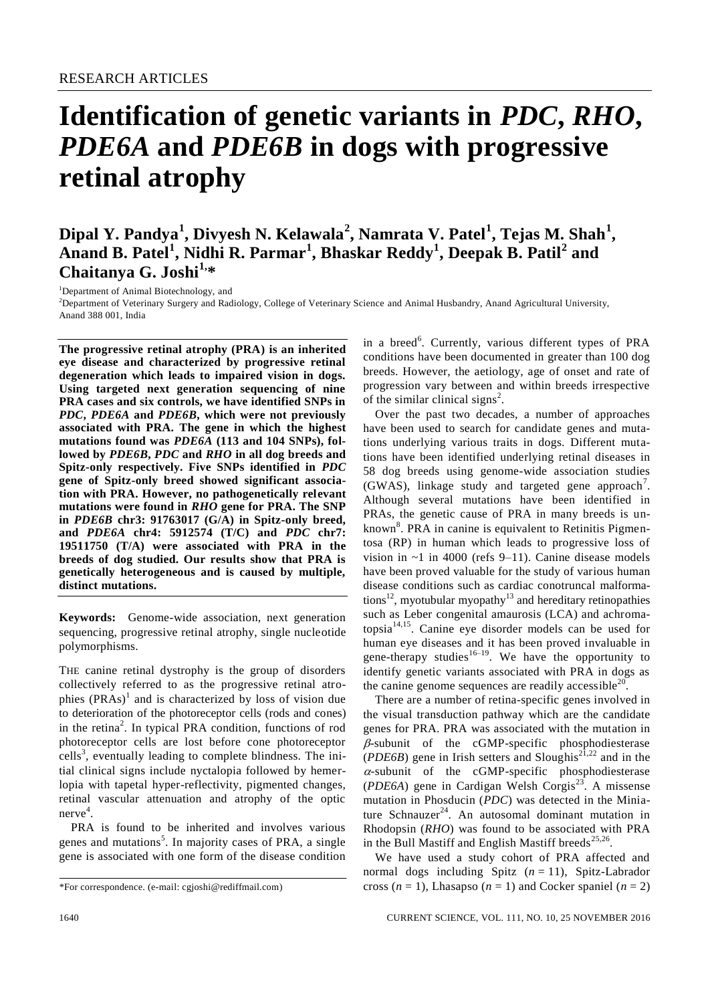# **Identification of genetic variants in** *PDC***,** *RHO***,**  *PDE6A* **and** *PDE6B* **in dogs with progressive retinal atrophy**

# **Dipal Y. Pandya<sup>1</sup> , Divyesh N. Kelawala<sup>2</sup> , Namrata V. Patel<sup>1</sup> , Tejas M. Shah<sup>1</sup> , Anand B. Patel<sup>1</sup> , Nidhi R. Parmar<sup>1</sup> , Bhaskar Reddy<sup>1</sup> , Deepak B. Patil<sup>2</sup> and Chaitanya G. Joshi1, \***

<sup>1</sup>Department of Animal Biotechnology, and

<sup>2</sup>Department of Veterinary Surgery and Radiology, College of Veterinary Science and Animal Husbandry, Anand Agricultural University, Anand 388 001, India

**The progressive retinal atrophy (PRA) is an inherited eye disease and characterized by progressive retinal degeneration which leads to impaired vision in dogs. Using targeted next generation sequencing of nine PRA cases and six controls, we have identified SNPs in**  *PDC***,** *PDE6A* **and** *PDE6B***, which were not previously associated with PRA. The gene in which the highest mutations found was** *PDE6A* **(113 and 104 SNPs), followed by** *PDE6B***,** *PDC* **and** *RHO* **in all dog breeds and Spitz-only respectively. Five SNPs identified in** *PDC* **gene of Spitz-only breed showed significant association with PRA. However, no pathogenetically relevant mutations were found in** *RHO* **gene for PRA. The SNP in** *PDE6B* **chr3: 91763017 (G/A) in Spitz-only breed, and** *PDE6A* **chr4: 5912574 (T/C) and** *PDC* **chr7: 19511750 (T/A) were associated with PRA in the breeds of dog studied. Our results show that PRA is genetically heterogeneous and is caused by multiple, distinct mutations.**

**Keywords:** Genome-wide association, next generation sequencing, progressive retinal atrophy, single nucleotide polymorphisms.

THE canine retinal dystrophy is the group of disorders collectively referred to as the progressive retinal atrophies  $(PRAs)^{1}$  and is characterized by loss of vision due to deterioration of the photoreceptor cells (rods and cones) in the retina<sup>2</sup>. In typical PRA condition, functions of rod photoreceptor cells are lost before cone photoreceptor cells<sup>3</sup>, eventually leading to complete blindness. The initial clinical signs include nyctalopia followed by hemerlopia with tapetal hyper-reflectivity, pigmented changes, retinal vascular attenuation and atrophy of the optic nerve<sup>4</sup>.

PRA is found to be inherited and involves various genes and mutations<sup>5</sup>. In majority cases of PRA, a single gene is associated with one form of the disease condition

in a breed<sup>6</sup>. Currently, various different types of PRA conditions have been documented in greater than 100 dog breeds. However, the aetiology, age of onset and rate of progression vary between and within breeds irrespective of the similar clinical signs<sup>2</sup>.

Over the past two decades, a number of approaches have been used to search for candidate genes and mutations underlying various traits in dogs. Different mutations have been identified underlying retinal diseases in 58 dog breeds using genome-wide association studies (GWAS), linkage study and targeted gene approach<sup>7</sup>. Although several mutations have been identified in PRAs, the genetic cause of PRA in many breeds is unknown<sup>8</sup>. PRA in canine is equivalent to Retinitis Pigmentosa (RP) in human which leads to progressive loss of vision in  $\sim$ 1 in 4000 (refs 9–11). Canine disease models have been proved valuable for the study of various human disease conditions such as cardiac conotruncal malformations<sup>12</sup>, myotubular myopathy<sup>13</sup> and hereditary retinopathies such as Leber congenital amaurosis (LCA) and achromatopsia14,15. Canine eye disorder models can be used for human eye diseases and it has been proved invaluable in gene-therapy studies<sup>16–19</sup>. We have the opportunity to identify genetic variants associated with PRA in dogs as the canine genome sequences are readily accessible $^{20}$ .

There are a number of retina-specific genes involved in the visual transduction pathway which are the candidate genes for PRA. PRA was associated with the mutation in  $\beta$ -subunit of the cGMP-specific phosphodiesterase  $(PDE6B)$  gene in Irish setters and Sloughis<sup>21,22</sup> and in the  $\alpha$ -subunit of the cGMP-specific phosphodiesterase  $(PDE6A)$  gene in Cardigan Welsh Corgis<sup>23</sup>. A missense mutation in Phosducin (*PDC*) was detected in the Miniature Schnauzer<sup>24</sup>. An autosomal dominant mutation in Rhodopsin (*RHO*) was found to be associated with PRA in the Bull Mastiff and English Mastiff breeds $25,26$ .

We have used a study cohort of PRA affected and normal dogs including Spitz  $(n = 11)$ , Spitz-Labrador cross  $(n = 1)$ , Lhasapso  $(n = 1)$  and Cocker spaniel  $(n = 2)$ 

<sup>\*</sup>For correspondence. (e-mail: cgjoshi@rediffmail.com)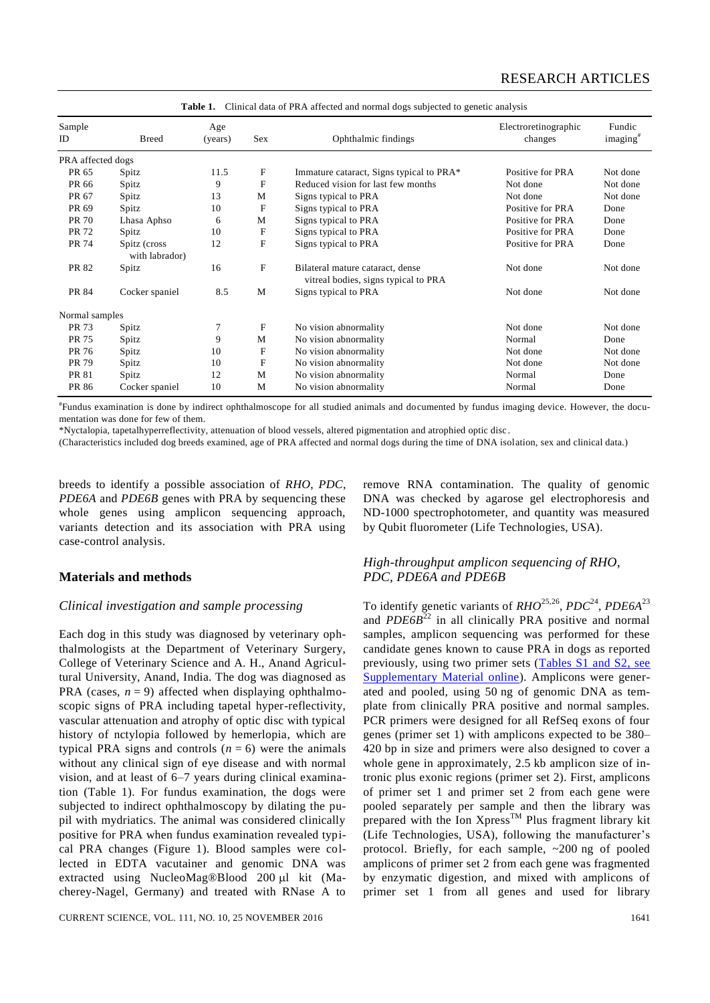| Sample<br>ID      | <b>Breed</b>                   | Age<br>(years) | <b>Sex</b>   | Ophthalmic findings                                                      | Electroretinographic<br>changes | Fundic<br>imaging <sup>#</sup> |
|-------------------|--------------------------------|----------------|--------------|--------------------------------------------------------------------------|---------------------------------|--------------------------------|
| PRA affected dogs |                                |                |              |                                                                          |                                 |                                |
| PR 65             | Spitz                          | 11.5           | $\mathbf{F}$ | Immature cataract, Signs typical to PRA*                                 | Positive for PRA                | Not done                       |
| PR 66             | Spitz                          | 9              | F            | Reduced vision for last few months                                       | Not done                        | Not done                       |
| PR 67             | Spitz                          | 13             | M            | Signs typical to PRA                                                     | Not done                        | Not done                       |
| PR 69             | Spitz                          | 10             | $\mathbf{F}$ | Signs typical to PRA                                                     | Positive for PRA                | Done                           |
| PR 70             | Lhasa Aphso                    | 6              | М            | Signs typical to PRA                                                     | Positive for PRA                | Done                           |
| PR 72             | Spitz                          | 10             | $\mathbf F$  | Signs typical to PRA                                                     | Positive for PRA                | Done                           |
| PR 74             | Spitz (cross<br>with labrador) | 12             | $\mathbf F$  | Signs typical to PRA                                                     | Positive for PRA                | Done                           |
| PR 82             | Spitz                          | 16             | $\mathbf{F}$ | Bilateral mature cataract, dense<br>vitreal bodies, signs typical to PRA | Not done                        | Not done                       |
| PR 84             | Cocker spaniel                 | 8.5            | M            | Signs typical to PRA                                                     | Not done                        | Not done                       |
| Normal samples    |                                |                |              |                                                                          |                                 |                                |
| PR 73             | Spitz                          | 7              | $\mathbf{F}$ | No vision abnormality                                                    | Not done                        | Not done                       |
| PR 75             | Spitz                          | 9              | M            | No vision abnormality                                                    | Normal                          | Done                           |
| PR 76             | Spitz                          | 10             | $\mathbf{F}$ | No vision abnormality                                                    | Not done                        | Not done                       |
| PR 79             | Spitz                          | 10             | $\mathbf{F}$ | No vision abnormality                                                    | Not done                        | Not done                       |
| PR 81             | Spitz                          | 12             | M            | No vision abnormality                                                    | Normal                          | Done                           |
| PR 86             | Cocker spaniel                 | 10             | M            | No vision abnormality                                                    | Normal                          | Done                           |

**Table 1.** Clinical data of PRA affected and normal dogs subjected to genetic analysis

# Fundus examination is done by indirect ophthalmoscope for all studied animals and documented by fundus imaging device. However, the documentation was done for few of them.

\*Nyctalopia, tapetalhyperreflectivity, attenuation of blood vessels, altered pigmentation and atrophied optic disc .

(Characteristics included dog breeds examined, age of PRA affected and normal dogs during the time of DNA isolation, sex and clinical data.)

breeds to identify a possible association of *RHO*, *PDC*, *PDE6A* and *PDE6B* genes with PRA by sequencing these whole genes using amplicon sequencing approach, variants detection and its association with PRA using case-control analysis.

#### **Materials and methods**

#### *Clinical investigation and sample processing*

Each dog in this study was diagnosed by veterinary ophthalmologists at the Department of Veterinary Surgery, College of Veterinary Science and A. H., Anand Agricultural University, Anand, India. The dog was diagnosed as PRA (cases,  $n = 9$ ) affected when displaying ophthalmoscopic signs of PRA including tapetal hyper-reflectivity, vascular attenuation and atrophy of optic disc with typical history of nctylopia followed by hemerlopia, which are typical PRA signs and controls  $(n = 6)$  were the animals without any clinical sign of eye disease and with normal vision, and at least of 6–7 years during clinical examination (Table 1). For fundus examination, the dogs were subjected to indirect ophthalmoscopy by dilating the pupil with mydriatics. The animal was considered clinically positive for PRA when fundus examination revealed typical PRA changes (Figure 1). Blood samples were collected in EDTA vacutainer and genomic DNA was extracted using NucleoMag®Blood 200 µl kit (Macherey-Nagel, Germany) and treated with RNase A to remove RNA contamination. The quality of genomic DNA was checked by agarose gel electrophoresis and ND-1000 spectrophotometer, and quantity was measured by Qubit fluorometer (Life Technologies, USA).

#### *High-throughput amplicon sequencing of RHO, PDC, PDE6A and PDE6B*

To identify genetic variants of *RHO*25,26 , *PDC*<sup>24</sup> , *PDE6A*<sup>23</sup> and *PDE6B*<sup>22</sup> in all clinically PRA positive and normal samples, amplicon sequencing was performed for these candidate genes known to cause PRA in dogs as reported previously, using two primer sets (Tables [S1 and S2, see](http://www.currentscience.ac.in/Volumes/111/10/1640-suppl.pdf)  [Supplementary Material online\)](http://www.currentscience.ac.in/Volumes/111/10/1640-suppl.pdf). Amplicons were generated and pooled, using 50 ng of genomic DNA as template from clinically PRA positive and normal samples. PCR primers were designed for all RefSeq exons of four genes (primer set 1) with amplicons expected to be 380– 420 bp in size and primers were also designed to cover a whole gene in approximately, 2.5 kb amplicon size of intronic plus exonic regions (primer set 2). First, amplicons of primer set 1 and primer set 2 from each gene were pooled separately per sample and then the library was prepared with the Ion  $Xpress^{TM}$  Plus fragment library kit (Life Technologies, USA), following the manufacturer's protocol. Briefly, for each sample, ~200 ng of pooled amplicons of primer set 2 from each gene was fragmented by enzymatic digestion, and mixed with amplicons of primer set 1 from all genes and used for library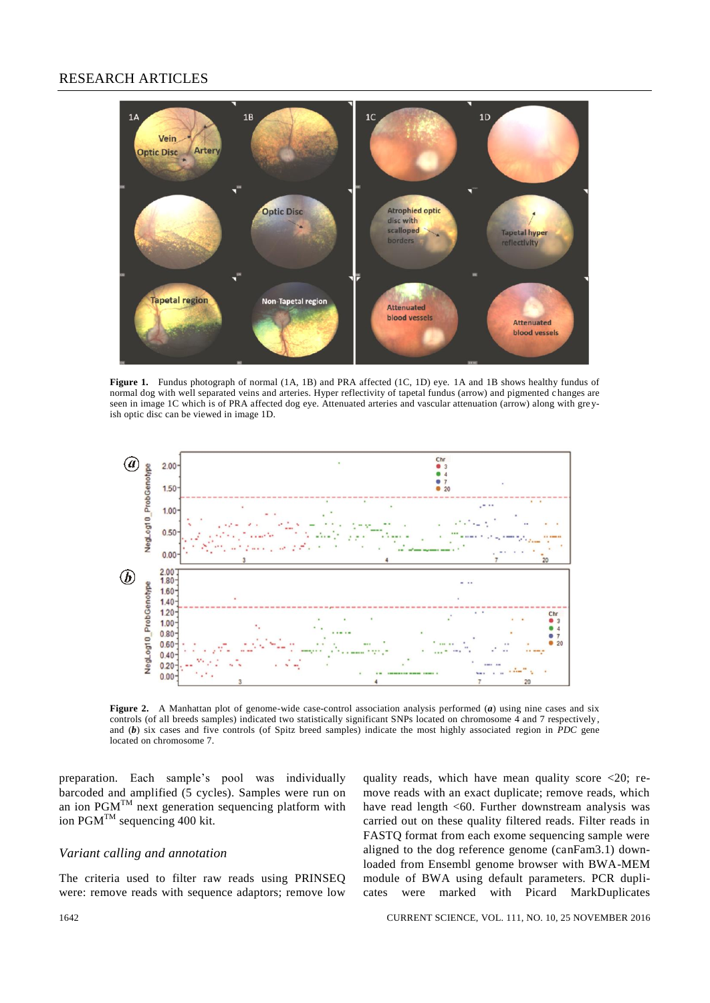## RESEARCH ARTICLES



**Figure 1.** Fundus photograph of normal (1A, 1B) and PRA affected (1C, 1D) eye. 1A and 1B shows healthy fundus of normal dog with well separated veins and arteries. Hyper reflectivity of tapetal fundus (arrow) and pigmented c hanges are seen in image 1C which is of PRA affected dog eye. Attenuated arteries and vascular attenuation (arrow) along with gre yish optic disc can be viewed in image 1D.



**Figure 2.** A Manhattan plot of genome-wide case-control association analysis performed (*a*) using nine cases and six controls (of all breeds samples) indicated two statistically significant SNPs located on chromosome  $\overline{4}$  and 7 respectively, and (*b*) six cases and five controls (of Spitz breed samples) indicate the most highly associated region in *PDC* gene located on chromosome 7.

preparation. Each sample's pool was individually barcoded and amplified (5 cycles). Samples were run on an ion  $PGM^{TM}$  next generation sequencing platform with ion PGM<sup>TM</sup> sequencing 400 kit.

### *Variant calling and annotation*

The criteria used to filter raw reads using PRINSEQ were: remove reads with sequence adaptors; remove low quality reads, which have mean quality score  $\langle 20;$  remove reads with an exact duplicate; remove reads, which have read length <60. Further downstream analysis was carried out on these quality filtered reads. Filter reads in FASTQ format from each exome sequencing sample were aligned to the dog reference genome (canFam3.1) downloaded from Ensembl genome browser with BWA-MEM module of BWA using default parameters. PCR duplicates were marked with Picard MarkDuplicates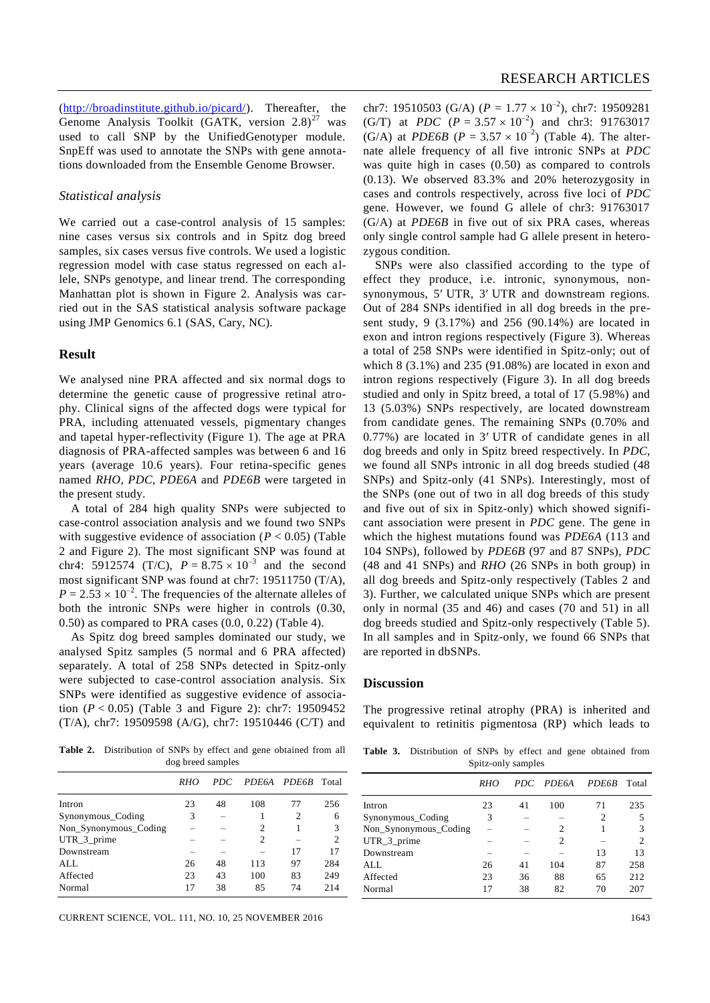(http://broadinstitute.github.io/picard/). Thereafter, the Genome Analysis Toolkit (GATK, version  $2.8)^{27}$  was used to call SNP by the UnifiedGenotyper module. SnpEff was used to annotate the SNPs with gene annotations downloaded from the Ensemble Genome Browser.

#### *Statistical analysis*

We carried out a case-control analysis of 15 samples: nine cases versus six controls and in Spitz dog breed samples, six cases versus five controls. We used a logistic regression model with case status regressed on each allele, SNPs genotype, and linear trend. The corresponding Manhattan plot is shown in Figure 2. Analysis was carried out in the SAS statistical analysis software package using JMP Genomics 6.1 (SAS, Cary, NC).

#### **Result**

We analysed nine PRA affected and six normal dogs to determine the genetic cause of progressive retinal atrophy. Clinical signs of the affected dogs were typical for PRA, including attenuated vessels, pigmentary changes and tapetal hyper-reflectivity (Figure 1). The age at PRA diagnosis of PRA-affected samples was between 6 and 16 years (average 10.6 years). Four retina-specific genes named *RHO*, *PDC*, *PDE6A* and *PDE6B* were targeted in the present study.

A total of 284 high quality SNPs were subjected to case-control association analysis and we found two SNPs with suggestive evidence of association  $(P < 0.05)$  (Table 2 and Figure 2). The most significant SNP was found at chr4: 5912574 (T/C),  $P = 8.75 \times 10^{-3}$  and the second most significant SNP was found at chr7: 19511750 (T/A),  $P = 2.53 \times 10^{-2}$ . The frequencies of the alternate alleles of both the intronic SNPs were higher in controls (0.30, 0.50) as compared to PRA cases (0.0, 0.22) (Table 4).

As Spitz dog breed samples dominated our study, we analysed Spitz samples (5 normal and 6 PRA affected) separately. A total of 258 SNPs detected in Spitz-only were subjected to case-control association analysis. Six SNPs were identified as suggestive evidence of association (*P* < 0.05) (Table 3 and Figure 2): chr7: 19509452 (T/A), chr7: 19509598 (A/G), chr7: 19510446 (C/T) and

**Table 2.** Distribution of SNPs by effect and gene obtained from all dog breed samples

| RHO | PDC. |                |    | Total          |
|-----|------|----------------|----|----------------|
| 23  | 48   | 108            | 77 | 256            |
| 3   |      |                | 2  | 6              |
|     |      | $\overline{c}$ |    | 3              |
|     |      | $\overline{c}$ |    | $\overline{c}$ |
|     |      |                | 17 | 17             |
| 26  | 48   | 113            | 97 | 284            |
| 23  | 43   | 100            | 83 | 249            |
| 17  | 38   | 85             | 74 | 214            |
|     |      |                |    | PDE6A PDE6B    |

CURRENT SCIENCE, VOL. 111, NO. 10, 25 NOVEMBER 2016 1643

chr7: 19510503 (G/A) ( $P = 1.77 \times 10^{-2}$ ), chr7: 19509281 (G/T) at *PDC*  $(P = 3.57 \times 10^{-2})$  and chr3: 91763017 (G/A) at *PDE6B* ( $P = 3.57 \times 10^{-2}$ ) (Table 4). The alternate allele frequency of all five intronic SNPs at *PDC* was quite high in cases (0.50) as compared to controls (0.13). We observed 83.3% and 20% heterozygosity in cases and controls respectively, across five loci of *PDC* gene. However, we found G allele of chr3: 91763017 (G/A) at *PDE6B* in five out of six PRA cases, whereas only single control sample had G allele present in heterozygous condition.

SNPs were also classified according to the type of effect they produce, i.e. intronic, synonymous, nonsynonymous, 5' UTR, 3' UTR and downstream regions. Out of 284 SNPs identified in all dog breeds in the present study, 9 (3.17%) and 256 (90.14%) are located in exon and intron regions respectively (Figure 3). Whereas a total of 258 SNPs were identified in Spitz-only; out of which 8 (3.1%) and 235 (91.08%) are located in exon and intron regions respectively (Figure 3). In all dog breeds studied and only in Spitz breed, a total of 17 (5.98%) and 13 (5.03%) SNPs respectively, are located downstream from candidate genes. The remaining SNPs (0.70% and  $0.77\%$ ) are located in 3' UTR of candidate genes in all dog breeds and only in Spitz breed respectively. In *PDC*, we found all SNPs intronic in all dog breeds studied (48 SNPs) and Spitz-only (41 SNPs). Interestingly, most of the SNPs (one out of two in all dog breeds of this study and five out of six in Spitz-only) which showed significant association were present in *PDC* gene. The gene in which the highest mutations found was *PDE6A* (113 and 104 SNPs), followed by *PDE6B* (97 and 87 SNPs), *PDC* (48 and 41 SNPs) and *RHO* (26 SNPs in both group) in all dog breeds and Spitz-only respectively (Tables 2 and 3). Further, we calculated unique SNPs which are present only in normal (35 and 46) and cases (70 and 51) in all dog breeds studied and Spitz-only respectively (Table 5). In all samples and in Spitz-only, we found 66 SNPs that are reported in dbSNPs.

#### **Discussion**

The progressive retinal atrophy (PRA) is inherited and equivalent to retinitis pigmentosa (RP) which leads to

**Table 3.** Distribution of SNPs by effect and gene obtained from Spitz-only samples

|                       | <i>RHO</i> |    | PDC PDE6A     | <b>PDE6B</b> | Total          |
|-----------------------|------------|----|---------------|--------------|----------------|
| Intron                | 23         | 41 | 100           | 71           | 235            |
| Synonymous_Coding     | 3          |    |               | 2            | 5              |
| Non_Synonymous_Coding |            |    | 2             |              | 3              |
| UTR_3_prime           |            |    | $\mathcal{L}$ |              | $\mathfrak{D}$ |
| Downstream            |            |    |               | 13           | 13             |
| ALL.                  | 26         | 41 | 104           | 87           | 258            |
| Affected              | 23         | 36 | 88            | 65           | 212            |
| Normal                | 17         | 38 | 82            | 70           | 207            |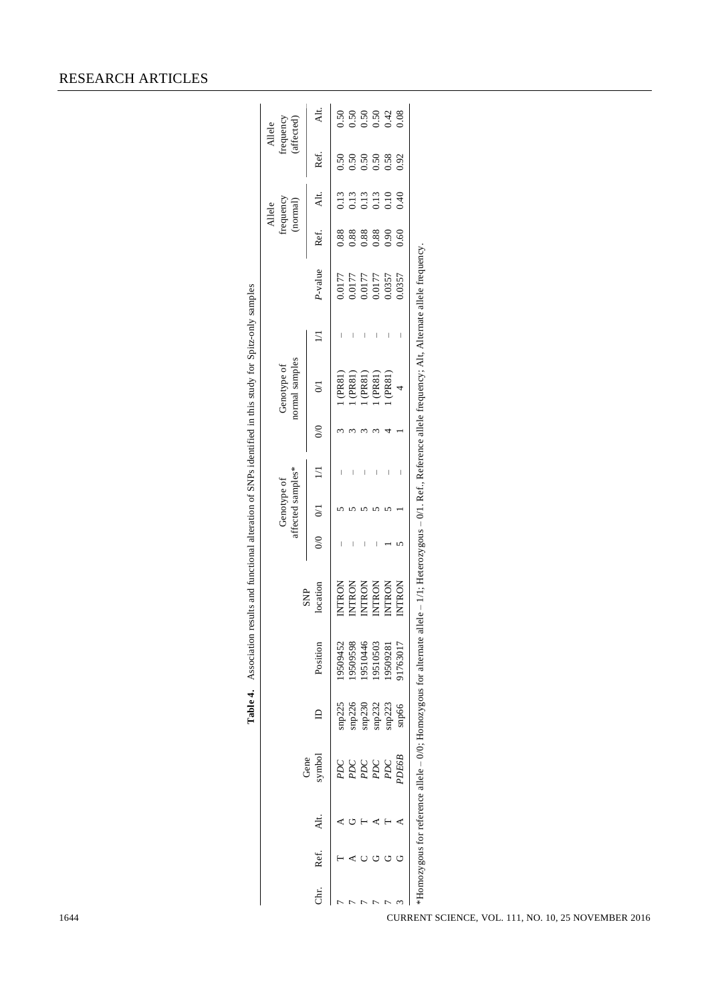|          |      |                |                          |                  |                                                                         |                                                                                                   |           | affected samples*<br>Genotype of |                 |               | normal samples<br>Genotype of    |        |                                                   |                             | frequency<br>(normal)<br>Allele      |      | frequency<br>(affected)<br>Allele |
|----------|------|----------------|--------------------------|------------------|-------------------------------------------------------------------------|---------------------------------------------------------------------------------------------------|-----------|----------------------------------|-----------------|---------------|----------------------------------|--------|---------------------------------------------------|-----------------------------|--------------------------------------|------|-----------------------------------|
| Б.<br>Сп | Ref. | $\overline{A}$ | symbol<br>Gene           |                  | Position                                                                | location<br><b>SNP</b>                                                                            | $0/0$ 0/1 |                                  | $\overline{11}$ | $\frac{0}{0}$ | $\overline{0}$                   | $\Box$ | P-value                                           | Ref.                        | Alt.                                 | Ref. | $\overline{A}$                    |
|          |      |                |                          | snp225           | 19509452                                                                | INTRON                                                                                            |           |                                  |                 |               | (PR81)                           |        |                                                   | 0.88                        | 0.13                                 |      |                                   |
|          |      |                |                          |                  | 9509598                                                                 |                                                                                                   |           |                                  |                 |               |                                  | I      |                                                   |                             |                                      |      |                                   |
|          |      |                | PDC<br>PDC<br>PDC<br>PDC | snp226<br>snp230 | 19510446                                                                | INTRON<br>INTRON<br>INTRON<br>INTRON                                                              |           |                                  |                 |               | 1 (PR81)<br>1 (PR81)<br>1 (PR81) |        | 771000<br>771000<br>7710000<br>7710000<br>7710000 | 88<br>0.88<br>0.000<br>0.00 | $0.13$<br>$0.13$<br>$0.13$<br>$0.40$ |      | 8<br>8 8 8 8 4 8<br>0 0 0 0 0 0   |
|          |      |                |                          |                  | 19510503                                                                |                                                                                                   |           |                                  |                 |               |                                  |        |                                                   |                             |                                      |      |                                   |
|          |      |                |                          | snp232<br>snp223 | 9509281                                                                 |                                                                                                   |           |                                  |                 |               | (PRS1)                           |        |                                                   |                             |                                      |      |                                   |
|          |      |                | <b>A</b> OEGG            | snp66            | J1763017                                                                | <b>INTRON</b>                                                                                     |           |                                  | I               |               |                                  |        | 0.0357                                            |                             |                                      |      |                                   |
|          |      |                |                          |                  | $*$ Homozygous for reference allele – 0/0; Homozygous for alternate all | lele – 1/1; Heterozygous – 0/1. Ref., Reference allele frequency; Alt, Alternate allele frequency |           |                                  |                 |               |                                  |        |                                                   |                             |                                      |      |                                   |

**Table 4.** Association results and functional alteration of SNPs identified in this study for Spitz-only samples

Table 4. Association results and functional alteration of SNPs identified in this study for Spitz-only samples

## RESEARCH ARTICLES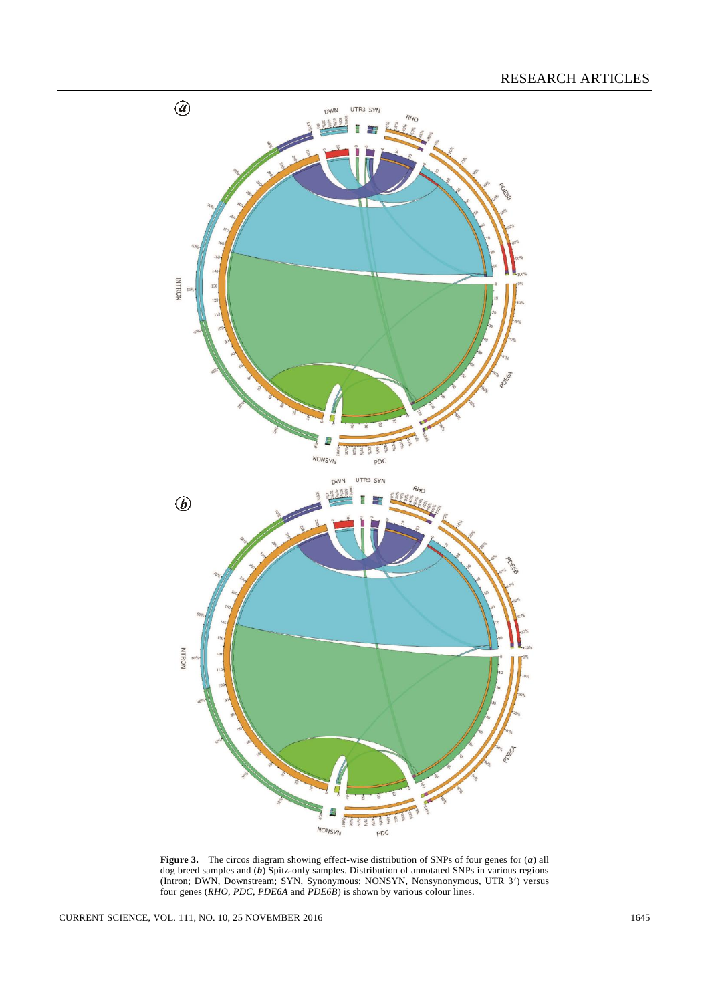

**Figure 3.** The circos diagram showing effect-wise distribution of SNPs of four genes for (*a*) all dog breed samples and (*b*) Spitz-only samples. Distribution of annotated SNPs in various regions (Intron; DWN, Downstream; SYN, Synonymous; NONSYN, Nonsynonymous, UTR 3) versus four genes (*RHO*, *PDC*, *PDE6A* and *PDE6B*) is shown by various colour lines.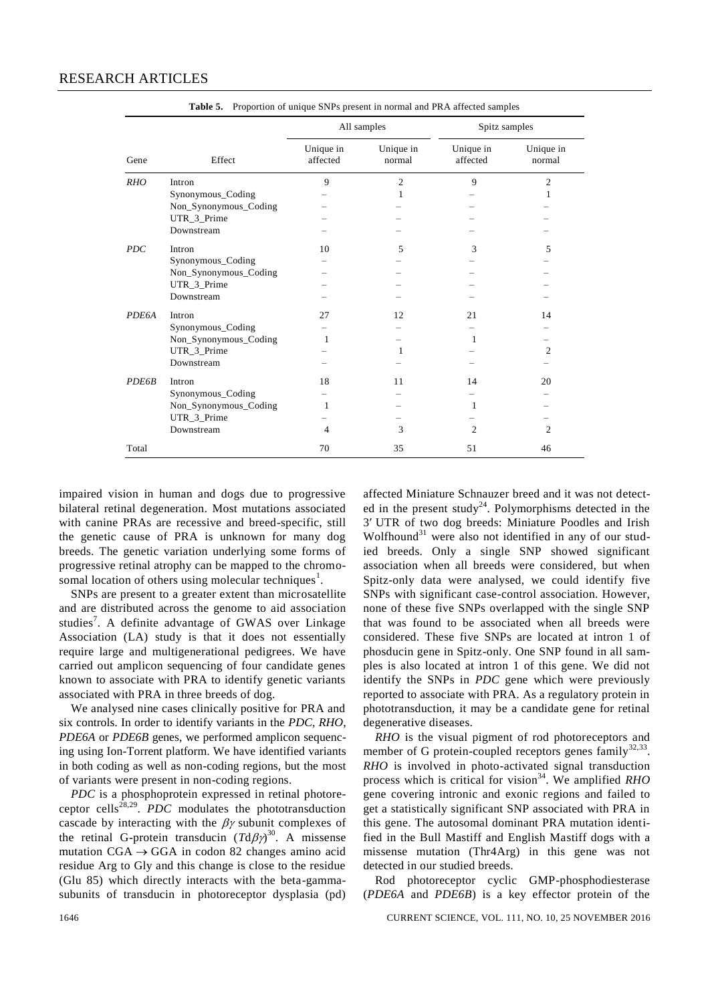|              |                       |                       | All samples         | Spitz samples         |                     |
|--------------|-----------------------|-----------------------|---------------------|-----------------------|---------------------|
| Gene         | Effect                | Unique in<br>affected | Unique in<br>normal | Unique in<br>affected | Unique in<br>normal |
| <b>RHO</b>   | Intron                | 9                     | $\overline{2}$      | 9                     | $\overline{2}$      |
|              | Synonymous_Coding     |                       | 1                   |                       | 1                   |
|              | Non_Synonymous_Coding |                       |                     |                       |                     |
|              | UTR_3_Prime           |                       |                     |                       |                     |
|              | Downstream            |                       |                     |                       |                     |
| <b>PDC</b>   | Intron                | 10                    | 5                   | 3                     | 5                   |
|              | Synonymous_Coding     |                       |                     |                       |                     |
|              | Non_Synonymous_Coding |                       |                     |                       |                     |
|              | UTR_3_Prime           |                       |                     |                       |                     |
|              | Downstream            |                       |                     |                       |                     |
| <b>PDE6A</b> | Intron                | 27                    | 12                  | 21                    | 14                  |
|              | Synonymous_Coding     |                       |                     |                       |                     |
|              | Non_Synonymous_Coding | 1                     |                     | 1                     |                     |
|              | UTR_3_Prime           |                       | 1                   |                       | 2                   |
|              | Downstream            |                       |                     |                       |                     |
| <b>PDE6B</b> | Intron                | 18                    | 11                  | 14                    | 20                  |
|              | Synonymous_Coding     |                       |                     |                       |                     |
|              | Non_Synonymous_Coding | 1                     |                     | 1                     |                     |
|              | UTR_3_Prime           |                       |                     |                       |                     |
|              | Downstream            | 4                     | 3                   | $\overline{c}$        | $\overline{c}$      |
| Total        |                       | 70                    | 35                  | 51                    | 46                  |

**Table 5.** Proportion of unique SNPs present in normal and PRA affected samples

impaired vision in human and dogs due to progressive bilateral retinal degeneration. Most mutations associated with canine PRAs are recessive and breed-specific, still the genetic cause of PRA is unknown for many dog breeds. The genetic variation underlying some forms of progressive retinal atrophy can be mapped to the chromosomal location of others using molecular techniques<sup>1</sup>.

SNPs are present to a greater extent than microsatellite and are distributed across the genome to aid association studies<sup>7</sup>. A definite advantage of GWAS over Linkage Association (LA) study is that it does not essentially require large and multigenerational pedigrees. We have carried out amplicon sequencing of four candidate genes known to associate with PRA to identify genetic variants associated with PRA in three breeds of dog.

We analysed nine cases clinically positive for PRA and six controls. In order to identify variants in the *PDC*, *RHO*, *PDE6A* or *PDE6B* genes, we performed amplicon sequencing using Ion-Torrent platform. We have identified variants in both coding as well as non-coding regions, but the most of variants were present in non-coding regions.

*PDC* is a phosphoprotein expressed in retinal photoreceptor cells<sup>28,29</sup>. *PDC* modulates the phototransduction cascade by interacting with the  $\beta\gamma$  subunit complexes of the retinal G-protein transducin  $(Td\beta\gamma)^{30}$ . A missense mutation  $CGA \rightarrow GGA$  in codon 82 changes amino acid residue Arg to Gly and this change is close to the residue (Glu 85) which directly interacts with the beta-gammasubunits of transducin in photoreceptor dysplasia (pd)

affected Miniature Schnauzer breed and it was not detected in the present study<sup>24</sup>. Polymorphisms detected in the 3 UTR of two dog breeds: Miniature Poodles and Irish Wolfhound $31$  were also not identified in any of our studied breeds. Only a single SNP showed significant association when all breeds were considered, but when Spitz-only data were analysed, we could identify five SNPs with significant case-control association. However, none of these five SNPs overlapped with the single SNP that was found to be associated when all breeds were considered. These five SNPs are located at intron 1 of phosducin gene in Spitz-only. One SNP found in all samples is also located at intron 1 of this gene. We did not identify the SNPs in *PDC* gene which were previously reported to associate with PRA. As a regulatory protein in phototransduction, it may be a candidate gene for retinal degenerative diseases.

*RHO* is the visual pigment of rod photoreceptors and member of G protein-coupled receptors genes  $family^{32,33}$ . *RHO* is involved in photo-activated signal transduction process which is critical for vision<sup>34</sup>. We amplified *RHO* gene covering intronic and exonic regions and failed to get a statistically significant SNP associated with PRA in this gene. The autosomal dominant PRA mutation identified in the Bull Mastiff and English Mastiff dogs with a missense mutation (Thr4Arg) in this gene was not detected in our studied breeds.

Rod photoreceptor cyclic GMP-phosphodiesterase (*PDE6A* and *PDE6B*) is a key effector protein of the

1646 CURRENT SCIENCE, VOL. 111, NO. 10, 25 NOVEMBER 2016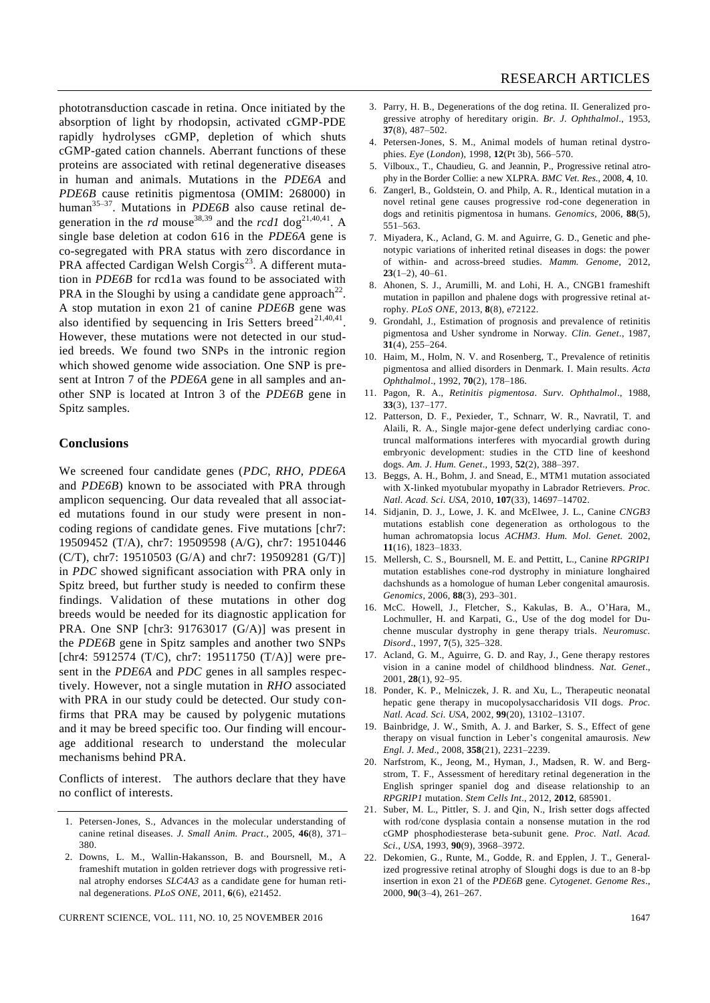phototransduction cascade in retina. Once initiated by the absorption of light by rhodopsin, activated cGMP-PDE rapidly hydrolyses cGMP, depletion of which shuts cGMP-gated cation channels. Aberrant functions of these proteins are associated with retinal degenerative diseases in human and animals. Mutations in the *PDE6A* and *PDE6B* cause retinitis pigmentosa (OMIM: 268000) in human<sup>35-37</sup>. Mutations in *PDE6B* also cause retinal degeneration in the *rd* mouse<sup>38,39</sup> and the *rcd1* dog<sup>21,40,41</sup>. A single base deletion at codon 616 in the *PDE6A* gene is co-segregated with PRA status with zero discordance in PRA affected Cardigan Welsh Corgis<sup>23</sup>. A different mutation in *PDE6B* for rcd1a was found to be associated with PRA in the Sloughi by using a candidate gene approach<sup>22</sup>. A stop mutation in exon 21 of canine *PDE6B* gene was

also identified by sequencing in Iris Setters breed<sup>21,40,41</sup>. However, these mutations were not detected in our studied breeds. We found two SNPs in the intronic region which showed genome wide association. One SNP is present at Intron 7 of the *PDE6A* gene in all samples and another SNP is located at Intron 3 of the *PDE6B* gene in Spitz samples.

#### **Conclusions**

We screened four candidate genes (*PDC*, *RHO*, *PDE6A* and *PDE6B*) known to be associated with PRA through amplicon sequencing. Our data revealed that all associated mutations found in our study were present in noncoding regions of candidate genes. Five mutations [chr7: 19509452 (T/A), chr7: 19509598 (A/G), chr7: 19510446 (C/T), chr7: 19510503 (G/A) and chr7: 19509281 (G/T)] in *PDC* showed significant association with PRA only in Spitz breed, but further study is needed to confirm these findings. Validation of these mutations in other dog breeds would be needed for its diagnostic application for PRA. One SNP [chr3: 91763017 (G/A)] was present in the *PDE6B* gene in Spitz samples and another two SNPs [chr4: 5912574 (T/C), chr7: 19511750 (T/A)] were present in the *PDE6A* and *PDC* genes in all samples respectively. However, not a single mutation in *RHO* associated with PRA in our study could be detected. Our study confirms that PRA may be caused by polygenic mutations and it may be breed specific too. Our finding will encourage additional research to understand the molecular mechanisms behind PRA.

Conflicts of interest. The authors declare that they have no conflict of interests.

- 1. Petersen-Jones, S., Advances in the molecular understanding of canine retinal diseases. *J. Small Anim. Pract*., 2005, **46**(8), 371– 380.
- 2. Downs, L. M., Wallin-Hakansson, B. and Boursnell, M., A frameshift mutation in golden retriever dogs with progressive retinal atrophy endorses *SLC4A3* as a candidate gene for human retinal degenerations. *PLoS ONE*, 2011, **6**(6), e21452.
- 3. Parry, H. B., Degenerations of the dog retina. II. Generalized progressive atrophy of hereditary origin. *Br. J. Ophthalmol*., 1953, **37**(8), 487–502.
- 4. Petersen-Jones, S. M., Animal models of human retinal dystrophies. *Eye* (*London*), 1998, **12**(Pt 3b), 566–570.
- 5. Vilboux., T., Chaudieu, G. and Jeannin, P., Progressive retinal atrophy in the Border Collie: a new XLPRA. *BMC Vet. Res*., 2008, **4**, 10.
- 6. Zangerl, B., Goldstein, O. and Philp, A. R., Identical mutation in a novel retinal gene causes progressive rod-cone degeneration in dogs and retinitis pigmentosa in humans. *Genomics,* 2006, **88**(5), 551–563.
- 7. Miyadera, K., Acland, G. M. and Aguirre, G. D., Genetic and phenotypic variations of inherited retinal diseases in dogs: the power of within- and across-breed studies. *Mamm. Genome*, 2012, **23**(1–2), 40–61.
- 8. Ahonen, S. J., Arumilli, M. and Lohi, H. A., CNGB1 frameshift mutation in papillon and phalene dogs with progressive retinal atrophy. *PLoS ONE*, 2013, **8**(8), e72122.
- 9. Grondahl, J., Estimation of prognosis and prevalence of retinitis pigmentosa and Usher syndrome in Norway. *Clin. Genet*., 1987, **31**(4), 255–264.
- 10. Haim, M., Holm, N. V. and Rosenberg, T., Prevalence of retinitis pigmentosa and allied disorders in Denmark. I. Main results. *Acta Ophthalmol*., 1992, **70**(2), 178–186.
- 11. Pagon, R. A., *Retinitis pigmentosa*. *Surv. Ophthalmol*., 1988, **33**(3), 137–177.
- 12. Patterson, D. F., Pexieder, T., Schnarr, W. R., Navratil, T. and Alaili, R. A., Single major-gene defect underlying cardiac conotruncal malformations interferes with myocardial growth during embryonic development: studies in the CTD line of keeshond dogs. *Am. J. Hum. Genet*., 1993, **52**(2), 388–397.
- 13. Beggs, A. H., Bohm, J. and Snead, E., MTM1 mutation associated with X-linked myotubular myopathy in Labrador Retrievers. *Proc. Natl. Acad. Sci. USA*, 2010, **107**(33), 14697–14702.
- 14. Sidjanin, D. J., Lowe, J. K. and McElwee, J. L., Canine *CNGB3* mutations establish cone degeneration as orthologous to the human achromatopsia locus *ACHM3*. *Hum. Mol. Genet.* 2002, **11**(16), 1823–1833.
- 15. Mellersh, C. S., Boursnell, M. E. and Pettitt, L., Canine *RPGRIP1* mutation establishes cone-rod dystrophy in miniature longhaired dachshunds as a homologue of human Leber congenital amaurosis. *Genomics*, 2006, **88**(3), 293–301.
- 16. McC. Howell, J., Fletcher, S., Kakulas, B. A., O'Hara, M., Lochmuller, H. and Karpati, G., Use of the dog model for Duchenne muscular dystrophy in gene therapy trials. *Neuromusc. Disord*., 1997, **7**(5), 325–328.
- 17. Acland, G. M., Aguirre, G. D. and Ray, J., Gene therapy restores vision in a canine model of childhood blindness. *Nat. Genet*., 2001, **28**(1), 92–95.
- 18. Ponder, K. P., Melniczek, J. R. and Xu, L., Therapeutic neonatal hepatic gene therapy in mucopolysaccharidosis VII dogs. *Proc. Natl. Acad. Sci. USA*, 2002, **99**(20), 13102–13107.
- 19. Bainbridge, J. W., Smith, A. J. and Barker, S. S., Effect of gene therapy on visual function in Leber's congenital amaurosis. *New Engl. J. Med*., 2008, **358**(21), 2231–2239.
- 20. Narfstrom, K., Jeong, M., Hyman, J., Madsen, R. W. and Bergstrom, T. F., Assessment of hereditary retinal degeneration in the English springer spaniel dog and disease relationship to an *RPGRIP1* mutation. *Stem Cells Int*., 2012, **2012**, 685901.
- 21. Suber, M. L., Pittler, S. J. and Qin, N., Irish setter dogs affected with rod/cone dysplasia contain a nonsense mutation in the rod cGMP phosphodiesterase beta-subunit gene. *Proc. Natl. Acad. Sci*., *USA*, 1993, **90**(9), 3968–3972.
- 22. Dekomien, G., Runte, M., Godde, R. and Epplen, J. T., Generalized progressive retinal atrophy of Sloughi dogs is due to an 8-bp insertion in exon 21 of the *PDE6B* gene. *Cytogenet. Genome Res*., 2000, **90**(3–4), 261–267.